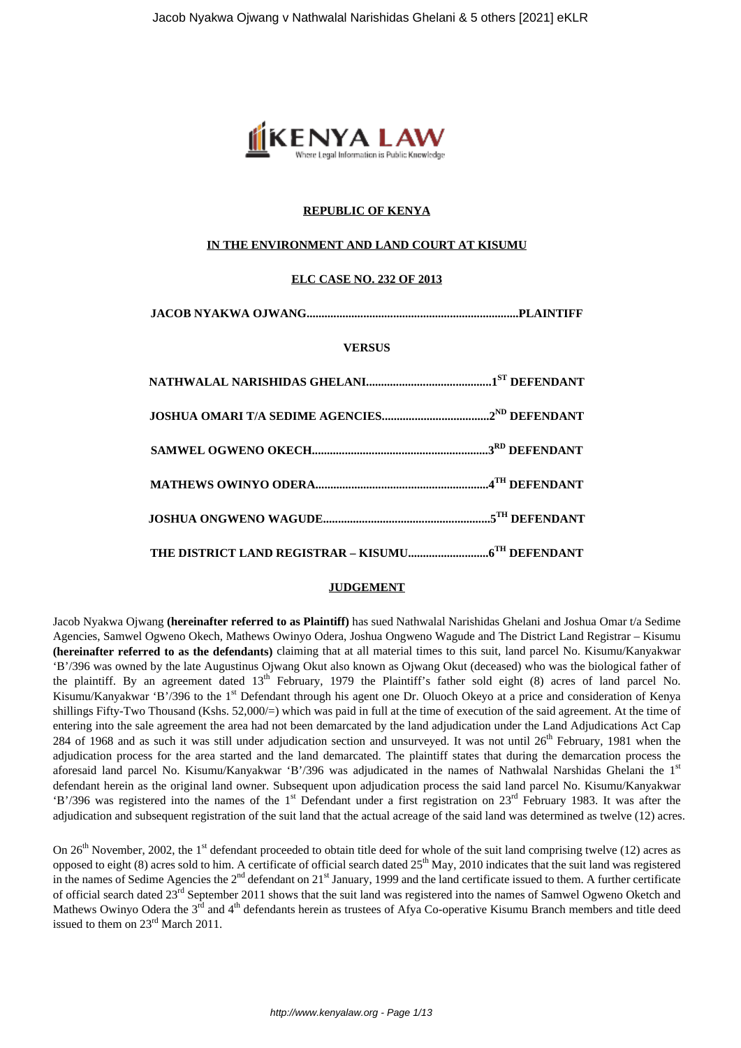

# **REPUBLIC OF KENYA**

## **IN THE ENVIRONMENT AND LAND COURT AT KISUMU**

## **ELC CASE NO. 232 OF 2013**

**JACOB NYAKWA OJWANG.......................................................................PLAINTIFF**

### **VERSUS**

### **JUDGEMENT**

Jacob Nyakwa Ojwang **(hereinafter referred to as Plaintiff)** has sued Nathwalal Narishidas Ghelani and Joshua Omar t/a Sedime Agencies, Samwel Ogweno Okech, Mathews Owinyo Odera, Joshua Ongweno Wagude and The District Land Registrar – Kisumu **(hereinafter referred to as the defendants)** claiming that at all material times to this suit, land parcel No. Kisumu/Kanyakwar 'B'/396 was owned by the late Augustinus Ojwang Okut also known as Ojwang Okut (deceased) who was the biological father of the plaintiff. By an agreement dated 13<sup>th</sup> February, 1979 the Plaintiff's father sold eight (8) acres of land parcel No. Kisumu/Kanyakwar 'B'/396 to the 1<sup>st</sup> Defendant through his agent one Dr. Oluoch Okeyo at a price and consideration of Kenya shillings Fifty-Two Thousand (Kshs. 52,000/=) which was paid in full at the time of execution of the said agreement. At the time of entering into the sale agreement the area had not been demarcated by the land adjudication under the Land Adjudications Act Cap 284 of 1968 and as such it was still under adjudication section and unsurveyed. It was not until 26<sup>th</sup> February, 1981 when the adjudication process for the area started and the land demarcated. The plaintiff states that during the demarcation process the aforesaid land parcel No. Kisumu/Kanyakwar 'B'/396 was adjudicated in the names of Nathwalal Narshidas Ghelani the 1<sup>st</sup> defendant herein as the original land owner. Subsequent upon adjudication process the said land parcel No. Kisumu/Kanyakwar 'B'/396 was registered into the names of the 1<sup>st</sup> Defendant under a first registration on  $23<sup>rd</sup>$  February 1983. It was after the adjudication and subsequent registration of the suit land that the actual acreage of the said land was determined as twelve (12) acres.

On  $26<sup>th</sup>$  November, 2002, the 1<sup>st</sup> defendant proceeded to obtain title deed for whole of the suit land comprising twelve (12) acres as opposed to eight (8) acres sold to him. A certificate of official search dated 25<sup>th</sup> May, 2010 indicates that the suit land was registered in the names of Sedime Agencies the 2<sup>nd</sup> defendant on 21<sup>st</sup> January, 1999 and the land certificate issued to them. A further certificate of official search dated 23rd September 2011 shows that the suit land was registered into the names of Samwel Ogweno Oketch and Mathews Owinyo Odera the  $3^{rd}$  and  $4^{th}$  defendants herein as trustees of Afya Co-operative Kisumu Branch members and title deed issued to them on 23rd March 2011.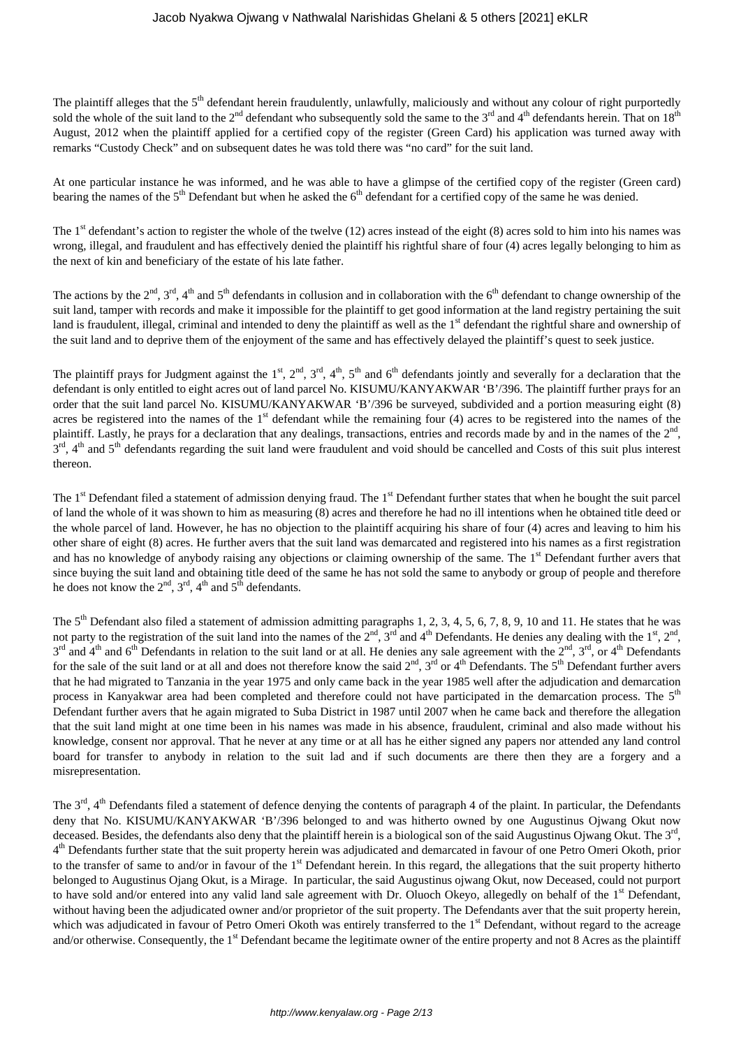The plaintiff alleges that the 5<sup>th</sup> defendant herein fraudulently, unlawfully, maliciously and without any colour of right purportedly sold the whole of the suit land to the  $2<sup>nd</sup>$  defendant who subsequently sold the same to the  $3<sup>rd</sup>$  and  $4<sup>th</sup>$  defendants herein. That on  $18<sup>th</sup>$ August, 2012 when the plaintiff applied for a certified copy of the register (Green Card) his application was turned away with remarks "Custody Check" and on subsequent dates he was told there was "no card" for the suit land.

At one particular instance he was informed, and he was able to have a glimpse of the certified copy of the register (Green card) bearing the names of the 5<sup>th</sup> Defendant but when he asked the 6<sup>th</sup> defendant for a certified copy of the same he was denied.

The  $1<sup>st</sup>$  defendant's action to register the whole of the twelve (12) acres instead of the eight (8) acres sold to him into his names was wrong, illegal, and fraudulent and has effectively denied the plaintiff his rightful share of four (4) acres legally belonging to him as the next of kin and beneficiary of the estate of his late father.

The actions by the  $2^{nd}$ ,  $3^{rd}$ ,  $4^{th}$  and  $5^{th}$  defendants in collusion and in collaboration with the  $6^{th}$  defendant to change ownership of the suit land, tamper with records and make it impossible for the plaintiff to get good information at the land registry pertaining the suit land is fraudulent, illegal, criminal and intended to deny the plaintiff as well as the 1<sup>st</sup> defendant the rightful share and ownership of the suit land and to deprive them of the enjoyment of the same and has effectively delayed the plaintiff's quest to seek justice.

The plaintiff prays for Judgment against the 1<sup>st</sup>, 2<sup>nd</sup>, 3<sup>rd</sup>, 4<sup>th</sup>, 5<sup>th</sup> and 6<sup>th</sup> defendants jointly and severally for a declaration that the defendant is only entitled to eight acres out of land parcel No. KISUMU/KANYAKWAR 'B'/396. The plaintiff further prays for an order that the suit land parcel No. KISUMU/KANYAKWAR 'B'/396 be surveyed, subdivided and a portion measuring eight (8) acres be registered into the names of the  $1<sup>st</sup>$  defendant while the remaining four (4) acres to be registered into the names of the plaintiff. Lastly, he prays for a declaration that any dealings, transactions, entries and records made by and in the names of the  $2<sup>nd</sup>$ , 3<sup>rd</sup>, 4<sup>th</sup> and 5<sup>th</sup> defendants regarding the suit land were fraudulent and void should be cancelled and Costs of this suit plus interest thereon.

The 1<sup>st</sup> Defendant filed a statement of admission denying fraud. The 1<sup>st</sup> Defendant further states that when he bought the suit parcel of land the whole of it was shown to him as measuring (8) acres and therefore he had no ill intentions when he obtained title deed or the whole parcel of land. However, he has no objection to the plaintiff acquiring his share of four (4) acres and leaving to him his other share of eight (8) acres. He further avers that the suit land was demarcated and registered into his names as a first registration and has no knowledge of anybody raising any objections or claiming ownership of the same. The 1<sup>st</sup> Defendant further avers that since buying the suit land and obtaining title deed of the same he has not sold the same to anybody or group of people and therefore he does not know the  $2<sup>nd</sup>$ ,  $3<sup>rd</sup>$ ,  $4<sup>th</sup>$  and  $5<sup>th</sup>$  defendants.

The  $5<sup>th</sup>$  Defendant also filed a statement of admission admitting paragraphs 1, 2, 3, 4, 5, 6, 7, 8, 9, 10 and 11. He states that he was not party to the registration of the suit land into the names of the  $2^{nd}$ ,  $3^{rd}$  and  $4^{th}$  Defendants. He denies any dealing with the  $1^{st}$ ,  $2^{nd}$ ,  $3^{rd}$  and  $4^{th}$  and  $6^{th}$  Defendants in relation to the suit land or at all. He denies any sale agreement with the  $2^{nd}$ ,  $3^{rd}$ , or  $4^{th}$  Defendants for the sale of the suit land or at all and does not therefore know the said  $2<sup>nd</sup>$ ,  $3<sup>rd</sup>$  or  $4<sup>th</sup>$  Defendants. The  $5<sup>th</sup>$  Defendant further avers that he had migrated to Tanzania in the year 1975 and only came back in the year 1985 well after the adjudication and demarcation process in Kanyakwar area had been completed and therefore could not have participated in the demarcation process. The 5<sup>th</sup> Defendant further avers that he again migrated to Suba District in 1987 until 2007 when he came back and therefore the allegation that the suit land might at one time been in his names was made in his absence, fraudulent, criminal and also made without his knowledge, consent nor approval. That he never at any time or at all has he either signed any papers nor attended any land control board for transfer to anybody in relation to the suit lad and if such documents are there then they are a forgery and a misrepresentation.

The  $3<sup>rd</sup>$ ,  $4<sup>th</sup>$  Defendants filed a statement of defence denying the contents of paragraph 4 of the plaint. In particular, the Defendants deny that No. KISUMU/KANYAKWAR 'B'/396 belonged to and was hitherto owned by one Augustinus Ojwang Okut now deceased. Besides, the defendants also deny that the plaintiff herein is a biological son of the said Augustinus Ojwang Okut. The 3<sup>rd</sup>, 4<sup>th</sup> Defendants further state that the suit property herein was adjudicated and demarcated in favour of one Petro Omeri Okoth, prior to the transfer of same to and/or in favour of the 1<sup>st</sup> Defendant herein. In this regard, the allegations that the suit property hitherto belonged to Augustinus Ojang Okut, is a Mirage. In particular, the said Augustinus ojwang Okut, now Deceased, could not purport to have sold and/or entered into any valid land sale agreement with Dr. Oluoch Okeyo, allegedly on behalf of the 1<sup>st</sup> Defendant, without having been the adjudicated owner and/or proprietor of the suit property. The Defendants aver that the suit property herein, which was adjudicated in favour of Petro Omeri Okoth was entirely transferred to the 1<sup>st</sup> Defendant, without regard to the acreage and/or otherwise. Consequently, the 1<sup>st</sup> Defendant became the legitimate owner of the entire property and not 8 Acres as the plaintiff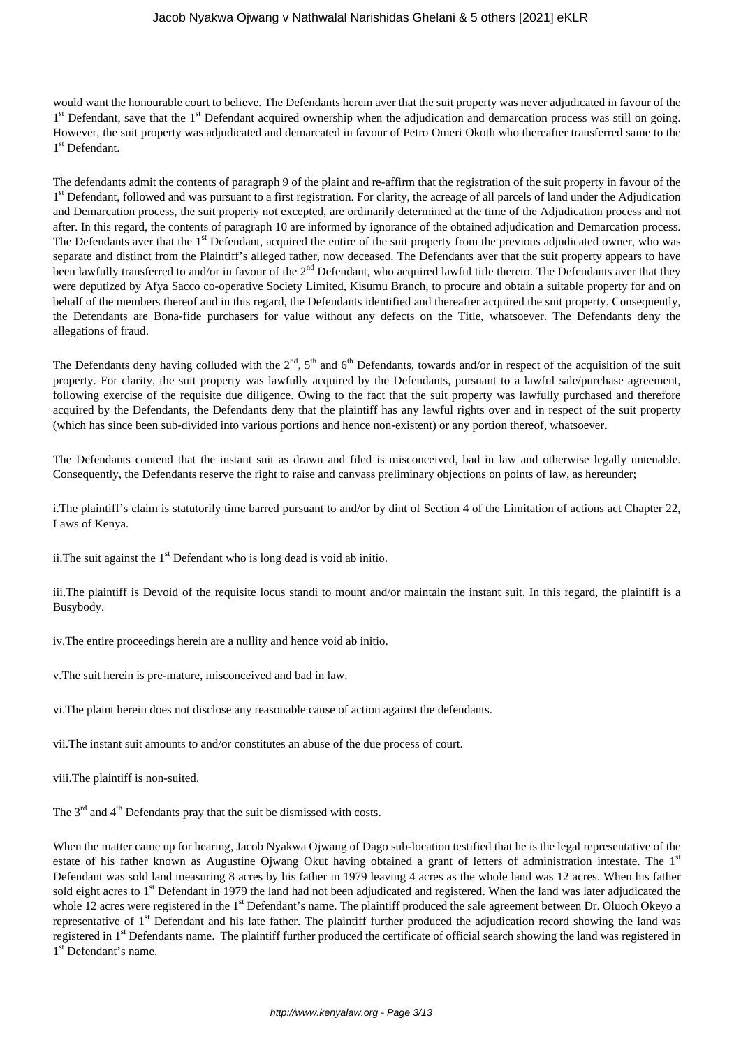would want the honourable court to believe. The Defendants herein aver that the suit property was never adjudicated in favour of the 1<sup>st</sup> Defendant, save that the 1<sup>st</sup> Defendant acquired ownership when the adjudication and demarcation process was still on going. However, the suit property was adjudicated and demarcated in favour of Petro Omeri Okoth who thereafter transferred same to the 1<sup>st</sup> Defendant.

The defendants admit the contents of paragraph 9 of the plaint and re-affirm that the registration of the suit property in favour of the 1<sup>st</sup> Defendant, followed and was pursuant to a first registration. For clarity, the acreage of all parcels of land under the Adjudication and Demarcation process, the suit property not excepted, are ordinarily determined at the time of the Adjudication process and not after. In this regard, the contents of paragraph 10 are informed by ignorance of the obtained adjudication and Demarcation process. The Defendants aver that the  $1<sup>st</sup>$  Defendant, acquired the entire of the suit property from the previous adjudicated owner, who was separate and distinct from the Plaintiff's alleged father, now deceased. The Defendants aver that the suit property appears to have been lawfully transferred to and/or in favour of the 2<sup>nd</sup> Defendant, who acquired lawful title thereto. The Defendants aver that they were deputized by Afya Sacco co-operative Society Limited, Kisumu Branch, to procure and obtain a suitable property for and on behalf of the members thereof and in this regard, the Defendants identified and thereafter acquired the suit property. Consequently, the Defendants are Bona-fide purchasers for value without any defects on the Title, whatsoever. The Defendants deny the allegations of fraud.

The Defendants deny having colluded with the  $2<sup>nd</sup>$ ,  $5<sup>th</sup>$  and  $6<sup>th</sup>$  Defendants, towards and/or in respect of the acquisition of the suit property. For clarity, the suit property was lawfully acquired by the Defendants, pursuant to a lawful sale/purchase agreement, following exercise of the requisite due diligence. Owing to the fact that the suit property was lawfully purchased and therefore acquired by the Defendants, the Defendants deny that the plaintiff has any lawful rights over and in respect of the suit property (which has since been sub-divided into various portions and hence non-existent) or any portion thereof, whatsoever**.**

The Defendants contend that the instant suit as drawn and filed is misconceived, bad in law and otherwise legally untenable. Consequently, the Defendants reserve the right to raise and canvass preliminary objections on points of law, as hereunder;

i.The plaintiff's claim is statutorily time barred pursuant to and/or by dint of Section 4 of the Limitation of actions act Chapter 22, Laws of Kenya.

ii. The suit against the  $1<sup>st</sup>$  Defendant who is long dead is void ab initio.

iii.The plaintiff is Devoid of the requisite locus standi to mount and/or maintain the instant suit. In this regard, the plaintiff is a Busybody.

iv.The entire proceedings herein are a nullity and hence void ab initio.

v.The suit herein is pre-mature, misconceived and bad in law.

vi.The plaint herein does not disclose any reasonable cause of action against the defendants.

vii.The instant suit amounts to and/or constitutes an abuse of the due process of court.

viii.The plaintiff is non-suited.

The  $3<sup>rd</sup>$  and  $4<sup>th</sup>$  Defendants pray that the suit be dismissed with costs.

When the matter came up for hearing, Jacob Nyakwa Ojwang of Dago sub-location testified that he is the legal representative of the estate of his father known as Augustine Ojwang Okut having obtained a grant of letters of administration intestate. The 1st Defendant was sold land measuring 8 acres by his father in 1979 leaving 4 acres as the whole land was 12 acres. When his father sold eight acres to 1<sup>st</sup> Defendant in 1979 the land had not been adjudicated and registered. When the land was later adjudicated the whole 12 acres were registered in the 1<sup>st</sup> Defendant's name. The plaintiff produced the sale agreement between Dr. Oluoch Okeyo a representative of 1<sup>st</sup> Defendant and his late father. The plaintiff further produced the adjudication record showing the land was registered in 1<sup>st</sup> Defendants name. The plaintiff further produced the certificate of official search showing the land was registered in 1<sup>st</sup> Defendant's name.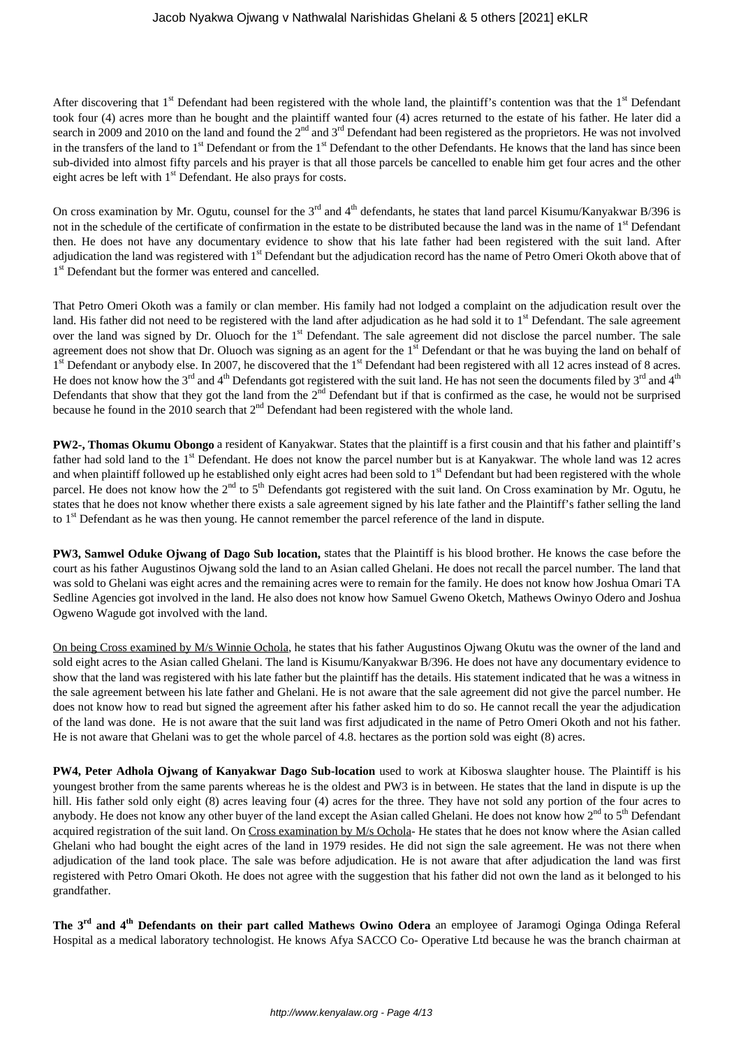## Jacob Nyakwa Ojwang v Nathwalal Narishidas Ghelani & 5 others [2021] eKLR

After discovering that  $1<sup>st</sup>$  Defendant had been registered with the whole land, the plaintiff's contention was that the  $1<sup>st</sup>$  Defendant took four (4) acres more than he bought and the plaintiff wanted four (4) acres returned to the estate of his father. He later did a search in 2009 and 2010 on the land and found the 2<sup>nd</sup> and 3<sup>rd</sup> Defendant had been registered as the proprietors. He was not involved in the transfers of the land to  $1<sup>st</sup>$  Defendant or from the  $1<sup>st</sup>$  Defendant to the other Defendants. He knows that the land has since been sub-divided into almost fifty parcels and his prayer is that all those parcels be cancelled to enable him get four acres and the other eight acres be left with 1<sup>st</sup> Defendant. He also prays for costs.

On cross examination by Mr. Ogutu, counsel for the  $3^{rd}$  and  $4^{th}$  defendants, he states that land parcel Kisumu/Kanyakwar B/396 is not in the schedule of the certificate of confirmation in the estate to be distributed because the land was in the name of 1<sup>st</sup> Defendant then. He does not have any documentary evidence to show that his late father had been registered with the suit land. After adjudication the land was registered with 1<sup>st</sup> Defendant but the adjudication record has the name of Petro Omeri Okoth above that of 1<sup>st</sup> Defendant but the former was entered and cancelled.

That Petro Omeri Okoth was a family or clan member. His family had not lodged a complaint on the adjudication result over the land. His father did not need to be registered with the land after adjudication as he had sold it to  $1<sup>st</sup>$  Defendant. The sale agreement over the land was signed by Dr. Oluoch for the 1<sup>st</sup> Defendant. The sale agreement did not disclose the parcel number. The sale agreement does not show that Dr. Oluoch was signing as an agent for the 1<sup>st</sup> Defendant or that he was buying the land on behalf of 1<sup>st</sup> Defendant or anybody else. In 2007, he discovered that the 1<sup>st</sup> Defendant had been registered with all 12 acres instead of 8 acres. He does not know how the  $3^{\text{rd}}$  and  $4^{\text{th}}$  Defendants got registered with the suit land. He has not seen the documents filed by  $3^{\text{rd}}$  and  $4^{\text{th}}$ Defendants that show that they got the land from the  $2<sup>nd</sup>$  Defendant but if that is confirmed as the case, he would not be surprised because he found in the 2010 search that 2<sup>nd</sup> Defendant had been registered with the whole land.

**PW2-, Thomas Okumu Obongo** a resident of Kanyakwar. States that the plaintiff is a first cousin and that his father and plaintiff's father had sold land to the 1<sup>st</sup> Defendant. He does not know the parcel number but is at Kanyakwar. The whole land was 12 acres and when plaintiff followed up he established only eight acres had been sold to  $1<sup>st</sup>$  Defendant but had been registered with the whole parcel. He does not know how the  $2<sup>nd</sup>$  to  $5<sup>th</sup>$  Defendants got registered with the suit land. On Cross examination by Mr. Ogutu, he states that he does not know whether there exists a sale agreement signed by his late father and the Plaintiff's father selling the land to 1<sup>st</sup> Defendant as he was then young. He cannot remember the parcel reference of the land in dispute.

**PW3, Samwel Oduke Ojwang of Dago Sub location,** states that the Plaintiff is his blood brother. He knows the case before the court as his father Augustinos Ojwang sold the land to an Asian called Ghelani. He does not recall the parcel number. The land that was sold to Ghelani was eight acres and the remaining acres were to remain for the family. He does not know how Joshua Omari TA Sedline Agencies got involved in the land. He also does not know how Samuel Gweno Oketch, Mathews Owinyo Odero and Joshua Ogweno Wagude got involved with the land.

On being Cross examined by M/s Winnie Ochola, he states that his father Augustinos Ojwang Okutu was the owner of the land and sold eight acres to the Asian called Ghelani. The land is Kisumu/Kanyakwar B/396. He does not have any documentary evidence to show that the land was registered with his late father but the plaintiff has the details. His statement indicated that he was a witness in the sale agreement between his late father and Ghelani. He is not aware that the sale agreement did not give the parcel number. He does not know how to read but signed the agreement after his father asked him to do so. He cannot recall the year the adjudication of the land was done. He is not aware that the suit land was first adjudicated in the name of Petro Omeri Okoth and not his father. He is not aware that Ghelani was to get the whole parcel of 4.8. hectares as the portion sold was eight (8) acres.

**PW4, Peter Adhola Ojwang of Kanyakwar Dago Sub-location** used to work at Kiboswa slaughter house. The Plaintiff is his youngest brother from the same parents whereas he is the oldest and PW3 is in between. He states that the land in dispute is up the hill. His father sold only eight (8) acres leaving four (4) acres for the three. They have not sold any portion of the four acres to anybody. He does not know any other buyer of the land except the Asian called Ghelani. He does not know how 2<sup>nd</sup> to 5<sup>th</sup> Defendant acquired registration of the suit land. On Cross examination by M/s Ochola- He states that he does not know where the Asian called Ghelani who had bought the eight acres of the land in 1979 resides. He did not sign the sale agreement. He was not there when adjudication of the land took place. The sale was before adjudication. He is not aware that after adjudication the land was first registered with Petro Omari Okoth. He does not agree with the suggestion that his father did not own the land as it belonged to his grandfather.

**The 3rd and 4th Defendants on their part called Mathews Owino Odera** an employee of Jaramogi Oginga Odinga Referal Hospital as a medical laboratory technologist. He knows Afya SACCO Co- Operative Ltd because he was the branch chairman at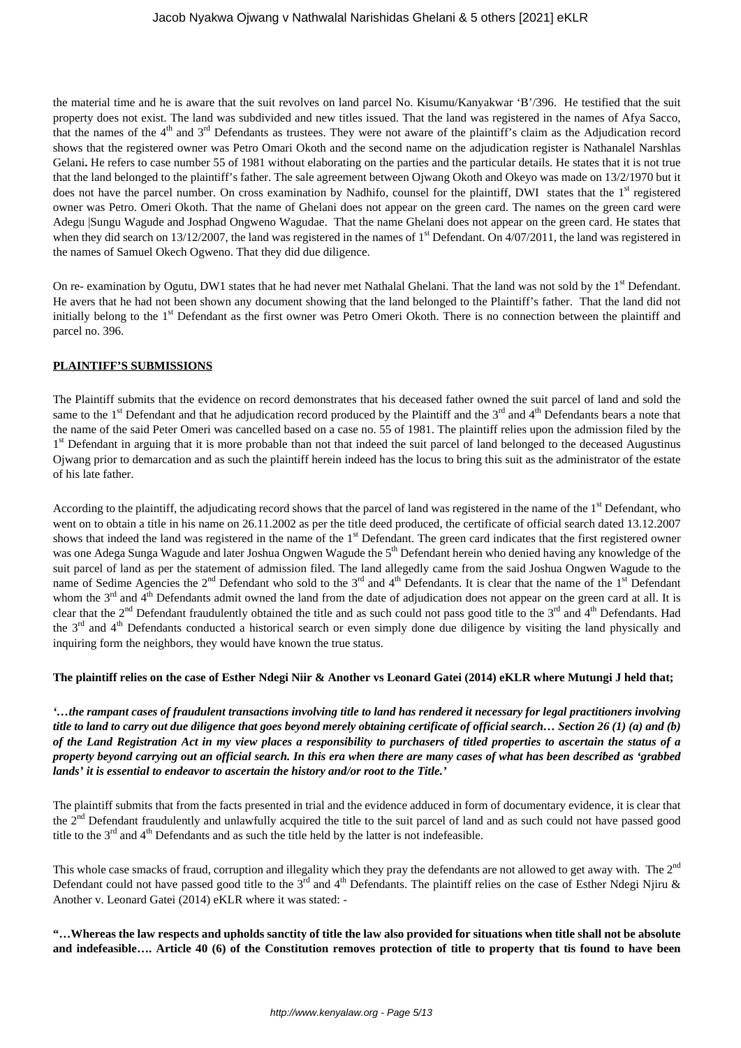the material time and he is aware that the suit revolves on land parcel No. Kisumu/Kanyakwar 'B'/396. He testified that the suit property does not exist. The land was subdivided and new titles issued. That the land was registered in the names of Afya Sacco, that the names of the  $4<sup>th</sup>$  and  $3<sup>rd</sup>$  Defendants as trustees. They were not aware of the plaintiff's claim as the Adjudication record shows that the registered owner was Petro Omari Okoth and the second name on the adjudication register is Nathanalel Narshlas Gelani. He refers to case number 55 of 1981 without elaborating on the parties and the particular details. He states that it is not true that the land belonged to the plaintiff's father. The sale agreement between Ojwang Okoth and Okeyo was made on 13/2/1970 but it does not have the parcel number. On cross examination by Nadhifo, counsel for the plaintiff, DWI states that the 1<sup>st</sup> registered owner was Petro. Omeri Okoth. That the name of Ghelani does not appear on the green card. The names on the green card were Adegu |Sungu Wagude and Josphad Ongweno Wagudae. That the name Ghelani does not appear on the green card. He states that when they did search on 13/12/2007, the land was registered in the names of 1<sup>st</sup> Defendant. On 4/07/2011, the land was registered in the names of Samuel Okech Ogweno. That they did due diligence.

On re- examination by Ogutu, DW1 states that he had never met Nathalal Ghelani. That the land was not sold by the 1<sup>st</sup> Defendant. He avers that he had not been shown any document showing that the land belonged to the Plaintiff's father. That the land did not initially belong to the 1<sup>st</sup> Defendant as the first owner was Petro Omeri Okoth. There is no connection between the plaintiff and parcel no. 396.

# **PLAINTIFF'S SUBMISSIONS**

The Plaintiff submits that the evidence on record demonstrates that his deceased father owned the suit parcel of land and sold the same to the  $1<sup>st</sup>$  Defendant and that he adjudication record produced by the Plaintiff and the  $3<sup>rd</sup>$  and  $4<sup>th</sup>$  Defendants bears a note that the name of the said Peter Omeri was cancelled based on a case no. 55 of 1981. The plaintiff relies upon the admission filed by the 1<sup>st</sup> Defendant in arguing that it is more probable than not that indeed the suit parcel of land belonged to the deceased Augustinus Ojwang prior to demarcation and as such the plaintiff herein indeed has the locus to bring this suit as the administrator of the estate of his late father.

According to the plaintiff, the adjudicating record shows that the parcel of land was registered in the name of the 1<sup>st</sup> Defendant, who went on to obtain a title in his name on 26.11.2002 as per the title deed produced, the certificate of official search dated 13.12.2007 shows that indeed the land was registered in the name of the 1<sup>st</sup> Defendant. The green card indicates that the first registered owner was one Adega Sunga Wagude and later Joshua Ongwen Wagude the 5<sup>th</sup> Defendant herein who denied having any knowledge of the suit parcel of land as per the statement of admission filed. The land allegedly came from the said Joshua Ongwen Wagude to the name of Sedime Agencies the 2<sup>nd</sup> Defendant who sold to the 3<sup>rd</sup> and 4<sup>th</sup> Defendants. It is clear that the name of the 1<sup>st</sup> Defendant whom the  $3^{rd}$  and  $4^{th}$  Defendants admit owned the land from the date of adjudication does not appear on the green card at all. It is clear that the  $2<sup>nd</sup>$  Defendant fraudulently obtained the title and as such could not pass good title to the  $3<sup>rd</sup>$  and  $4<sup>th</sup>$  Defendants. Had the 3<sup>rd</sup> and 4<sup>th</sup> Defendants conducted a historical search or even simply done due diligence by visiting the land physically and inquiring form the neighbors, they would have known the true status.

## **The plaintiff relies on the case of Esther Ndegi Niir & Another vs Leonard Gatei (2014) eKLR where Mutungi J held that;**

*'…the rampant cases of fraudulent transactions involving title to land has rendered it necessary for legal practitioners involving title to land to carry out due diligence that goes beyond merely obtaining certificate of official search… Section 26 (1) (a) and (b) of the Land Registration Act in my view places a responsibility to purchasers of titled properties to ascertain the status of a property beyond carrying out an official search. In this era when there are many cases of what has been described as 'grabbed lands' it is essential to endeavor to ascertain the history and/or root to the Title.'*

The plaintiff submits that from the facts presented in trial and the evidence adduced in form of documentary evidence, it is clear that the 2<sup>nd</sup> Defendant fraudulently and unlawfully acquired the title to the suit parcel of land and as such could not have passed good title to the  $3<sup>rd</sup>$  and  $4<sup>th</sup>$  Defendants and as such the title held by the latter is not indefeasible.

This whole case smacks of fraud, corruption and illegality which they pray the defendants are not allowed to get away with. The  $2<sup>nd</sup>$ Defendant could not have passed good title to the 3<sup>rd</sup> and 4<sup>th</sup> Defendants. The plaintiff relies on the case of Esther Ndegi Njiru & Another v. Leonard Gatei (2014) eKLR where it was stated: -

**"…Whereas the law respects and upholds sanctity of title the law also provided for situations when title shall not be absolute and indefeasible…. Article 40 (6) of the Constitution removes protection of title to property that tis found to have been**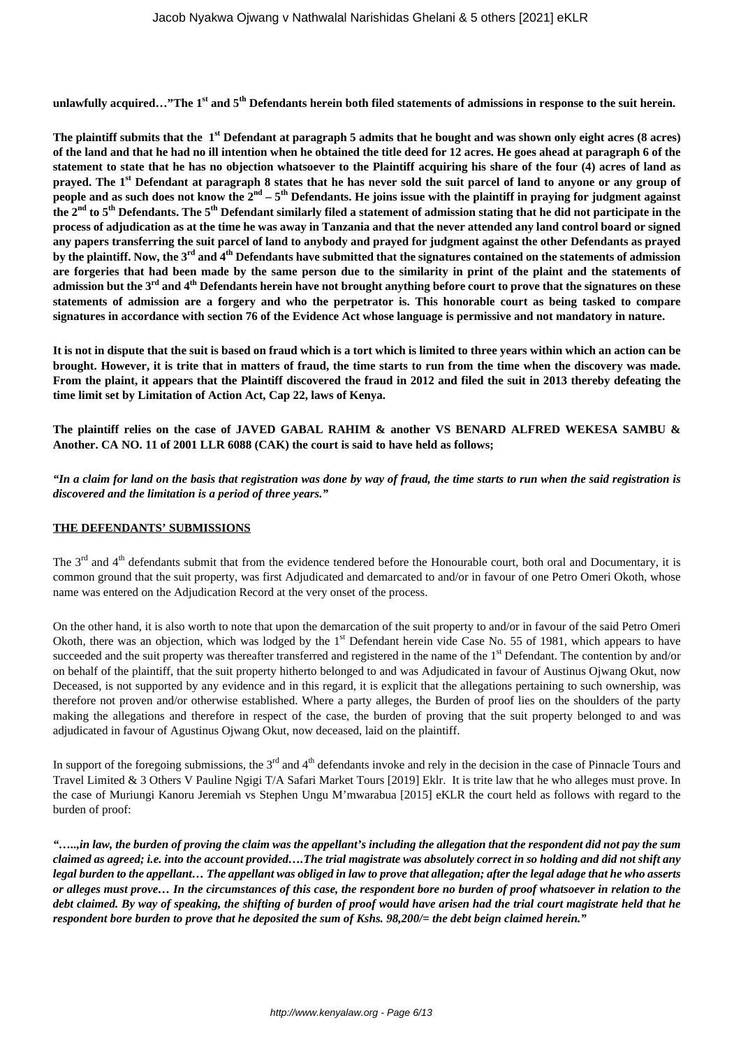**unlawfully acquired…"The 1st and 5th Defendants herein both filed statements of admissions in response to the suit herein.**

The plaintiff submits that the 1<sup>st</sup> Defendant at paragraph 5 admits that he bought and was shown only eight acres (8 acres) **of the land and that he had no ill intention when he obtained the title deed for 12 acres. He goes ahead at paragraph 6 of the statement to state that he has no objection whatsoever to the Plaintiff acquiring his share of the four (4) acres of land as prayed. The 1st Defendant at paragraph 8 states that he has never sold the suit parcel of land to anyone or any group of people and as such does not know the 2nd – 5th Defendants. He joins issue with the plaintiff in praying for judgment against the 2nd to 5th Defendants. The 5th Defendant similarly filed a statement of admission stating that he did not participate in the process of adjudication as at the time he was away in Tanzania and that the never attended any land control board or signed any papers transferring the suit parcel of land to anybody and prayed for judgment against the other Defendants as prayed by the plaintiff. Now, the 3rd and 4th Defendants have submitted that the signatures contained on the statements of admission are forgeries that had been made by the same person due to the similarity in print of the plaint and the statements of admission but the 3rd and 4th Defendants herein have not brought anything before court to prove that the signatures on these statements of admission are a forgery and who the perpetrator is. This honorable court as being tasked to compare signatures in accordance with section 76 of the Evidence Act whose language is permissive and not mandatory in nature.** 

**It is not in dispute that the suit is based on fraud which is a tort which is limited to three years within which an action can be brought. However, it is trite that in matters of fraud, the time starts to run from the time when the discovery was made. From the plaint, it appears that the Plaintiff discovered the fraud in 2012 and filed the suit in 2013 thereby defeating the time limit set by Limitation of Action Act, Cap 22, laws of Kenya.**

**The plaintiff relies on the case of JAVED GABAL RAHIM & another VS BENARD ALFRED WEKESA SAMBU & Another. CA NO. 11 of 2001 LLR 6088 (CAK) the court is said to have held as follows;**

*"In a claim for land on the basis that registration was done by way of fraud, the time starts to run when the said registration is discovered and the limitation is a period of three years."*

## **THE DEFENDANTS' SUBMISSIONS**

The  $3<sup>rd</sup>$  and  $4<sup>th</sup>$  defendants submit that from the evidence tendered before the Honourable court, both oral and Documentary, it is common ground that the suit property, was first Adjudicated and demarcated to and/or in favour of one Petro Omeri Okoth, whose name was entered on the Adjudication Record at the very onset of the process.

On the other hand, it is also worth to note that upon the demarcation of the suit property to and/or in favour of the said Petro Omeri Okoth, there was an objection, which was lodged by the  $1<sup>st</sup>$  Defendant herein vide Case No. 55 of 1981, which appears to have succeeded and the suit property was thereafter transferred and registered in the name of the 1<sup>st</sup> Defendant. The contention by and/or on behalf of the plaintiff, that the suit property hitherto belonged to and was Adjudicated in favour of Austinus Ojwang Okut, now Deceased, is not supported by any evidence and in this regard, it is explicit that the allegations pertaining to such ownership, was therefore not proven and/or otherwise established. Where a party alleges, the Burden of proof lies on the shoulders of the party making the allegations and therefore in respect of the case, the burden of proving that the suit property belonged to and was adjudicated in favour of Agustinus Ojwang Okut, now deceased, laid on the plaintiff.

In support of the foregoing submissions, the  $3<sup>rd</sup>$  and  $4<sup>th</sup>$  defendants invoke and rely in the decision in the case of Pinnacle Tours and Travel Limited & 3 Others V Pauline Ngigi T/A Safari Market Tours [2019] Eklr. It is trite law that he who alleges must prove. In the case of Muriungi Kanoru Jeremiah vs Stephen Ungu M'mwarabua [2015] eKLR the court held as follows with regard to the burden of proof:

*"…..,in law, the burden of proving the claim was the appellant's including the allegation that the respondent did not pay the sum claimed as agreed; i.e. into the account provided….The trial magistrate was absolutely correct in so holding and did not shift any legal burden to the appellant… The appellant was obliged in law to prove that allegation; after the legal adage that he who asserts or alleges must prove… In the circumstances of this case, the respondent bore no burden of proof whatsoever in relation to the debt claimed. By way of speaking, the shifting of burden of proof would have arisen had the trial court magistrate held that he respondent bore burden to prove that he deposited the sum of Kshs. 98,200/= the debt beign claimed herein."*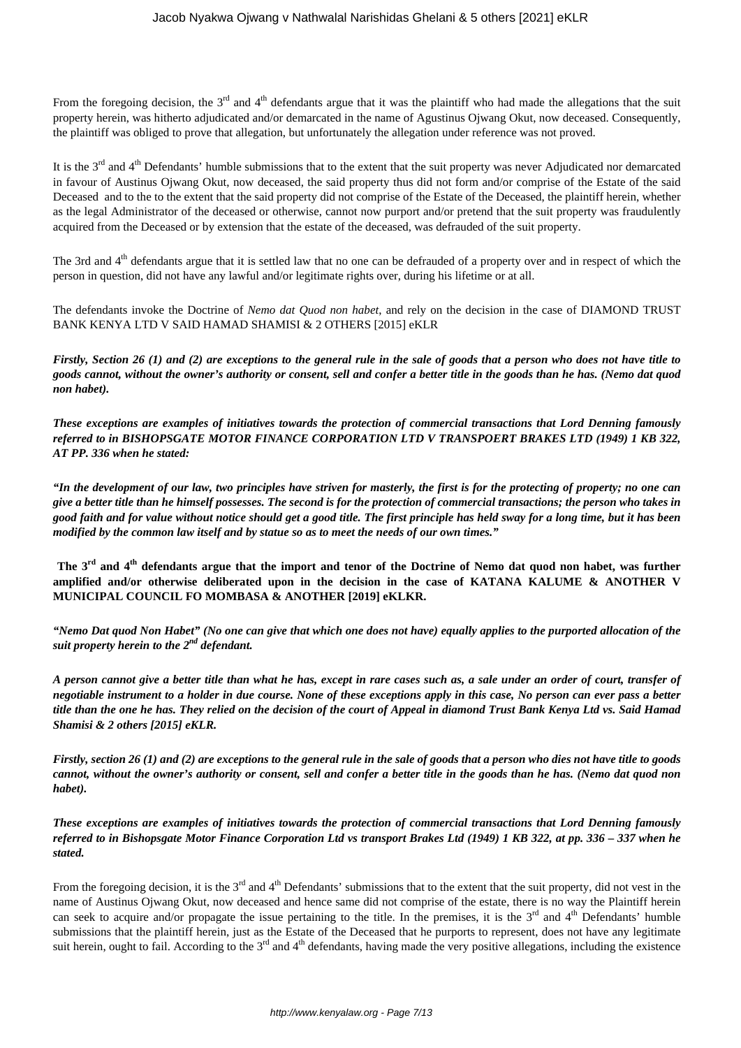From the foregoing decision, the  $3<sup>rd</sup>$  and  $4<sup>th</sup>$  defendants argue that it was the plaintiff who had made the allegations that the suit property herein, was hitherto adjudicated and/or demarcated in the name of Agustinus Ojwang Okut, now deceased. Consequently, the plaintiff was obliged to prove that allegation, but unfortunately the allegation under reference was not proved.

It is the  $3<sup>rd</sup>$  and  $4<sup>th</sup>$  Defendants' humble submissions that to the extent that the suit property was never Adjudicated nor demarcated in favour of Austinus Ojwang Okut, now deceased, the said property thus did not form and/or comprise of the Estate of the said Deceased and to the to the extent that the said property did not comprise of the Estate of the Deceased, the plaintiff herein, whether as the legal Administrator of the deceased or otherwise, cannot now purport and/or pretend that the suit property was fraudulently acquired from the Deceased or by extension that the estate of the deceased, was defrauded of the suit property.

The 3rd and  $4<sup>th</sup>$  defendants argue that it is settled law that no one can be defrauded of a property over and in respect of which the person in question, did not have any lawful and/or legitimate rights over, during his lifetime or at all.

The defendants invoke the Doctrine of *Nemo dat Quod non habet*, and rely on the decision in the case of DIAMOND TRUST BANK KENYA LTD V SAID HAMAD SHAMISI & 2 OTHERS [2015] eKLR

*Firstly, Section 26 (1) and (2) are exceptions to the general rule in the sale of goods that a person who does not have title to goods cannot, without the owner's authority or consent, sell and confer a better title in the goods than he has. (Nemo dat quod non habet).*

*These exceptions are examples of initiatives towards the protection of commercial transactions that Lord Denning famously referred to in BISHOPSGATE MOTOR FINANCE CORPORATION LTD V TRANSPOERT BRAKES LTD (1949) 1 KB 322, AT PP. 336 when he stated:*

*"In the development of our law, two principles have striven for masterly, the first is for the protecting of property; no one can give a better title than he himself possesses. The second is for the protection of commercial transactions; the person who takes in good faith and for value without notice should get a good title. The first principle has held sway for a long time, but it has been modified by the common law itself and by statue so as to meet the needs of our own times."*

**The 3rd and 4th defendants argue that the import and tenor of the Doctrine of Nemo dat quod non habet, was further amplified and/or otherwise deliberated upon in the decision in the case of KATANA KALUME & ANOTHER V MUNICIPAL COUNCIL FO MOMBASA & ANOTHER [2019] eKLKR.**

*"Nemo Dat quod Non Habet" (No one can give that which one does not have) equally applies to the purported allocation of the suit property herein to the 2nd defendant.*

*A person cannot give a better title than what he has, except in rare cases such as, a sale under an order of court, transfer of negotiable instrument to a holder in due course. None of these exceptions apply in this case, No person can ever pass a better title than the one he has. They relied on the decision of the court of Appeal in diamond Trust Bank Kenya Ltd vs. Said Hamad Shamisi & 2 others [2015] eKLR.*

*Firstly, section 26 (1) and (2) are exceptions to the general rule in the sale of goods that a person who dies not have title to goods cannot, without the owner's authority or consent, sell and confer a better title in the goods than he has. (Nemo dat quod non habet).*

*These exceptions are examples of initiatives towards the protection of commercial transactions that Lord Denning famously referred to in Bishopsgate Motor Finance Corporation Ltd vs transport Brakes Ltd (1949) 1 KB 322, at pp. 336 – 337 when he stated.*

From the foregoing decision, it is the 3<sup>rd</sup> and 4<sup>th</sup> Defendants' submissions that to the extent that the suit property, did not vest in the name of Austinus Ojwang Okut, now deceased and hence same did not comprise of the estate, there is no way the Plaintiff herein can seek to acquire and/or propagate the issue pertaining to the title. In the premises, it is the  $3<sup>rd</sup>$  and  $4<sup>th</sup>$  Defendants' humble submissions that the plaintiff herein, just as the Estate of the Deceased that he purports to represent, does not have any legitimate suit herein, ought to fail. According to the  $3<sup>rd</sup>$  and  $4<sup>th</sup>$  defendants, having made the very positive allegations, including the existence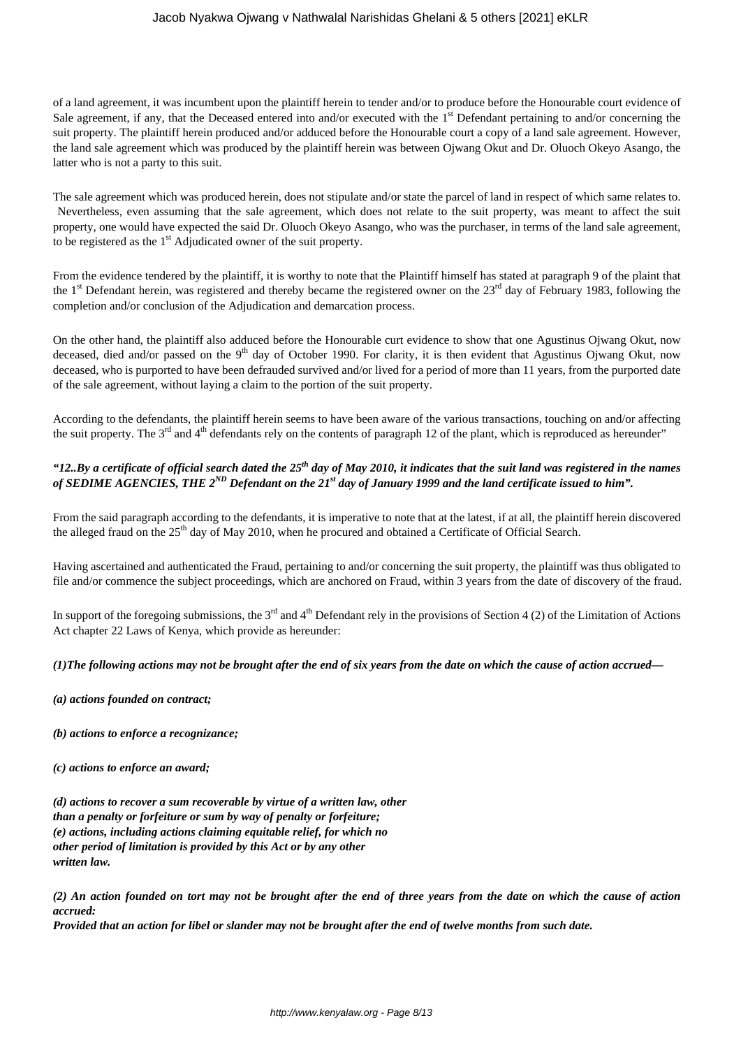## Jacob Nyakwa Ojwang v Nathwalal Narishidas Ghelani & 5 others [2021] eKLR

of a land agreement, it was incumbent upon the plaintiff herein to tender and/or to produce before the Honourable court evidence of Sale agreement, if any, that the Deceased entered into and/or executed with the  $1<sup>st</sup>$  Defendant pertaining to and/or concerning the suit property. The plaintiff herein produced and/or adduced before the Honourable court a copy of a land sale agreement. However, the land sale agreement which was produced by the plaintiff herein was between Ojwang Okut and Dr. Oluoch Okeyo Asango, the latter who is not a party to this suit.

The sale agreement which was produced herein, does not stipulate and/or state the parcel of land in respect of which same relates to. Nevertheless, even assuming that the sale agreement, which does not relate to the suit property, was meant to affect the suit property, one would have expected the said Dr. Oluoch Okeyo Asango, who was the purchaser, in terms of the land sale agreement, to be registered as the  $1<sup>st</sup>$  Adjudicated owner of the suit property.

From the evidence tendered by the plaintiff, it is worthy to note that the Plaintiff himself has stated at paragraph 9 of the plaint that the 1<sup>st</sup> Defendant herein, was registered and thereby became the registered owner on the  $23<sup>rd</sup>$  day of February 1983, following the completion and/or conclusion of the Adjudication and demarcation process.

On the other hand, the plaintiff also adduced before the Honourable curt evidence to show that one Agustinus Ojwang Okut, now deceased, died and/or passed on the 9<sup>th</sup> day of October 1990. For clarity, it is then evident that Agustinus Ojwang Okut, now deceased, who is purported to have been defrauded survived and/or lived for a period of more than 11 years, from the purported date of the sale agreement, without laying a claim to the portion of the suit property.

According to the defendants, the plaintiff herein seems to have been aware of the various transactions, touching on and/or affecting the suit property. The  $3<sup>rd</sup>$  and  $4<sup>th</sup>$  defendants rely on the contents of paragraph 12 of the plant, which is reproduced as hereunder"

# *"12..By a certificate of official search dated the 25th day of May 2010, it indicates that the suit land was registered in the names of SEDIME AGENCIES, THE 2ND Defendant on the 21st day of January 1999 and the land certificate issued to him".*

From the said paragraph according to the defendants, it is imperative to note that at the latest, if at all, the plaintiff herein discovered the alleged fraud on the 25<sup>th</sup> day of May 2010, when he procured and obtained a Certificate of Official Search.

Having ascertained and authenticated the Fraud, pertaining to and/or concerning the suit property, the plaintiff was thus obligated to file and/or commence the subject proceedings, which are anchored on Fraud, within 3 years from the date of discovery of the fraud.

In support of the foregoing submissions, the  $3<sup>rd</sup>$  and  $4<sup>th</sup>$  Defendant rely in the provisions of Section 4 (2) of the Limitation of Actions Act chapter 22 Laws of Kenya, which provide as hereunder:

## *(1)The following actions may not be brought after the end of six years from the date on which the cause of action accrued—*

*(a) actions founded on contract;* 

*(b) actions to enforce a recognizance;* 

*(c) actions to enforce an award;* 

*(d) actions to recover a sum recoverable by virtue of a written law, other than a penalty or forfeiture or sum by way of penalty or forfeiture; (e) actions, including actions claiming equitable relief, for which no other period of limitation is provided by this Act or by any other written law.* 

*(2) An action founded on tort may not be brought after the end of three years from the date on which the cause of action accrued:* 

*Provided that an action for libel or slander may not be brought after the end of twelve months from such date.*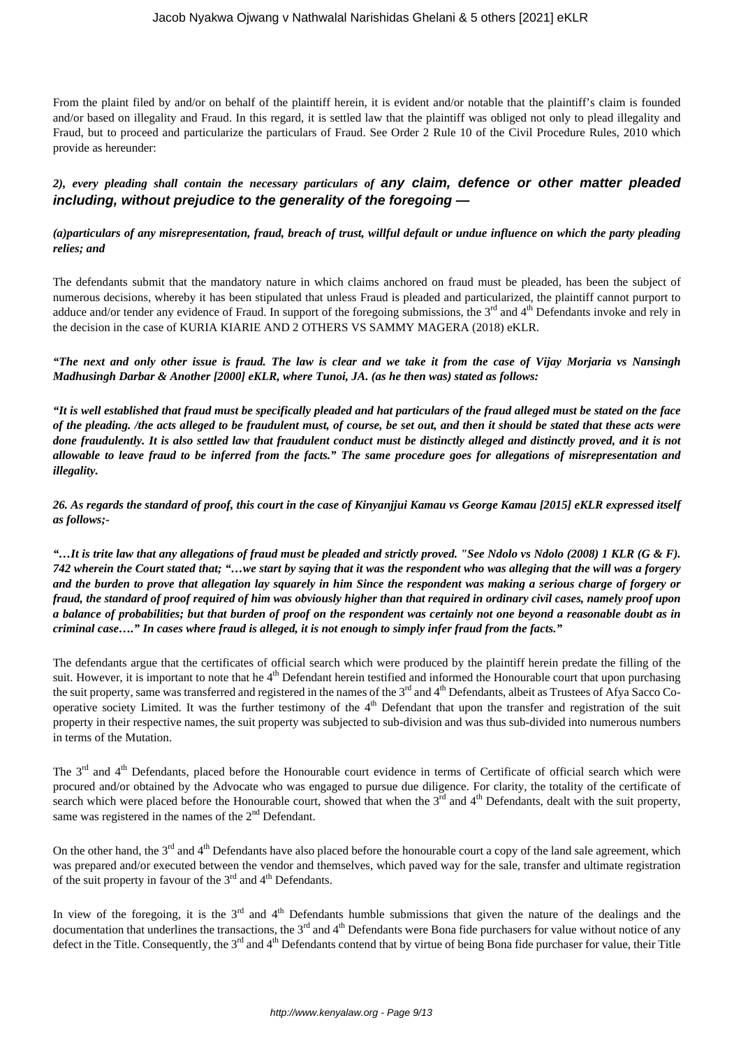From the plaint filed by and/or on behalf of the plaintiff herein, it is evident and/or notable that the plaintiff's claim is founded and/or based on illegality and Fraud. In this regard, it is settled law that the plaintiff was obliged not only to plead illegality and Fraud, but to proceed and particularize the particulars of Fraud. See Order 2 Rule 10 of the Civil Procedure Rules, 2010 which provide as hereunder:

# *2), every pleading shall contain the necessary particulars of* **any claim, defence or other matter pleaded including, without prejudice to the generality of the foregoing —**

## *(a)particulars of any misrepresentation, fraud, breach of trust, willful default or undue influence on which the party pleading relies; and*

The defendants submit that the mandatory nature in which claims anchored on fraud must be pleaded, has been the subject of numerous decisions, whereby it has been stipulated that unless Fraud is pleaded and particularized, the plaintiff cannot purport to adduce and/or tender any evidence of Fraud. In support of the foregoing submissions, the 3<sup>rd</sup> and 4<sup>th</sup> Defendants invoke and rely in the decision in the case of KURIA KIARIE AND 2 OTHERS VS SAMMY MAGERA (2018) eKLR.

*"The next and only other issue is fraud. The law is clear and we take it from the case of Vijay Morjaria vs Nansingh Madhusingh Darbar & Another [2000] eKLR, where Tunoi, JA. (as he then was) stated as follows:*

*"It is well established that fraud must be specifically pleaded and hat particulars of the fraud alleged must be stated on the face of the pleading. /the acts alleged to be fraudulent must, of course, be set out, and then it should be stated that these acts were done fraudulently. It is also settled law that fraudulent conduct must be distinctly alleged and distinctly proved, and it is not allowable to leave fraud to be inferred from the facts." The same procedure goes for allegations of misrepresentation and illegality.*

*26. As regards the standard of proof, this court in the case of Kinyanjjui Kamau vs George Kamau [2015] eKLR expressed itself as follows;-*

*"…It is trite law that any allegations of fraud must be pleaded and strictly proved. "See Ndolo vs Ndolo (2008) 1 KLR (G & F). 742 wherein the Court stated that; "…we start by saying that it was the respondent who was alleging that the will was a forgery and the burden to prove that allegation lay squarely in him Since the respondent was making a serious charge of forgery or fraud, the standard of proof required of him was obviously higher than that required in ordinary civil cases, namely proof upon a balance of probabilities; but that burden of proof on the respondent was certainly not one beyond a reasonable doubt as in criminal case…." In cases where fraud is alleged, it is not enough to simply infer fraud from the facts."*

The defendants argue that the certificates of official search which were produced by the plaintiff herein predate the filling of the suit. However, it is important to note that he 4<sup>th</sup> Defendant herein testified and informed the Honourable court that upon purchasing the suit property, same was transferred and registered in the names of the 3<sup>rd</sup> and 4<sup>th</sup> Defendants, albeit as Trustees of Afya Sacco Cooperative society Limited. It was the further testimony of the  $4<sup>th</sup>$  Defendant that upon the transfer and registration of the suit property in their respective names, the suit property was subjected to sub-division and was thus sub-divided into numerous numbers in terms of the Mutation.

The  $3<sup>rd</sup>$  and  $4<sup>th</sup>$  Defendants, placed before the Honourable court evidence in terms of Certificate of official search which were procured and/or obtained by the Advocate who was engaged to pursue due diligence. For clarity, the totality of the certificate of search which were placed before the Honourable court, showed that when the  $3<sup>rd</sup>$  and  $4<sup>th</sup>$  Defendants, dealt with the suit property, same was registered in the names of the  $2<sup>nd</sup>$  Defendant.

On the other hand, the 3<sup>rd</sup> and 4<sup>th</sup> Defendants have also placed before the honourable court a copy of the land sale agreement, which was prepared and/or executed between the vendor and themselves, which paved way for the sale, transfer and ultimate registration of the suit property in favour of the  $3<sup>rd</sup>$  and  $4<sup>th</sup>$  Defendants.

In view of the foregoing, it is the  $3<sup>rd</sup>$  and  $4<sup>th</sup>$  Defendants humble submissions that given the nature of the dealings and the documentation that underlines the transactions, the  $3<sup>rd</sup>$  and  $4<sup>th</sup>$  Defendants were Bona fide purchasers for value without notice of any defect in the Title. Consequently, the  $3<sup>rd</sup>$  and  $4<sup>th</sup>$  Defendants contend that by virtue of being Bona fide purchaser for value, their Title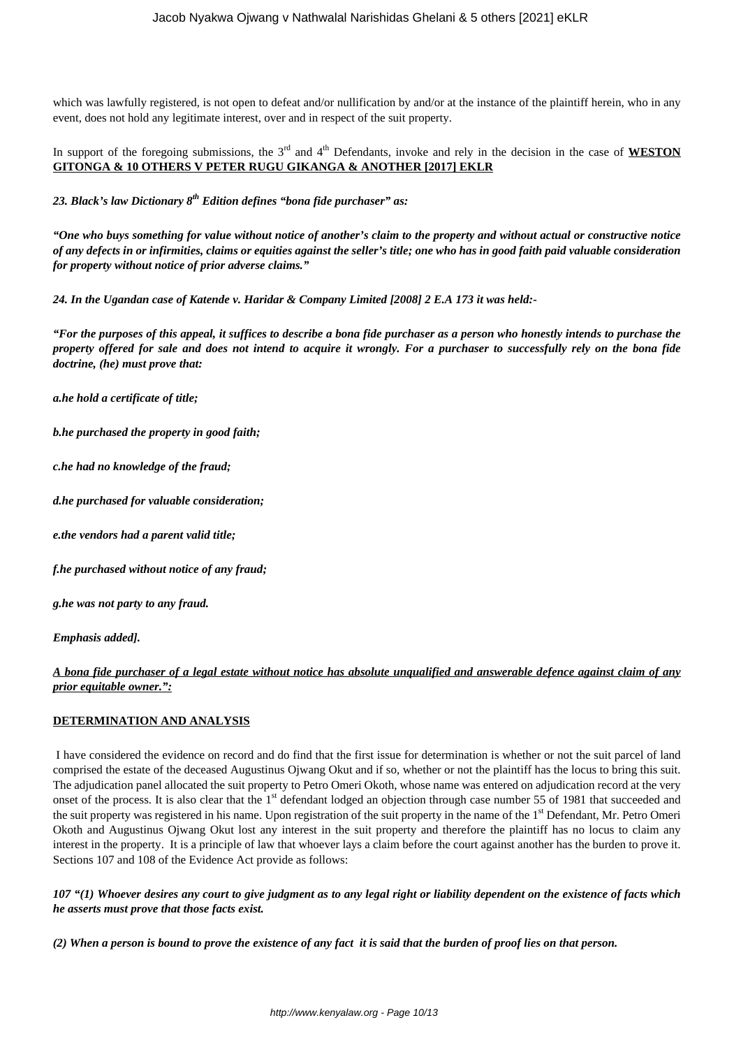which was lawfully registered, is not open to defeat and/or nullification by and/or at the instance of the plaintiff herein, who in any event, does not hold any legitimate interest, over and in respect of the suit property.

In support of the foregoing submissions, the  $3<sup>rd</sup>$  and  $4<sup>th</sup>$  Defendants, invoke and rely in the decision in the case of **WESTON GITONGA & 10 OTHERS V PETER RUGU GIKANGA & ANOTHER [2017] EKLR**

*23. Black's law Dictionary 8th Edition defines "bona fide purchaser" as:*

*"One who buys something for value without notice of another's claim to the property and without actual or constructive notice of any defects in or infirmities, claims or equities against the seller's title; one who has in good faith paid valuable consideration for property without notice of prior adverse claims."*

*24. In the Ugandan case of Katende v. Haridar & Company Limited [2008] 2 E.A 173 it was held:-*

*"For the purposes of this appeal, it suffices to describe a bona fide purchaser as a person who honestly intends to purchase the property offered for sale and does not intend to acquire it wrongly. For a purchaser to successfully rely on the bona fide doctrine, (he) must prove that:*

*a.he hold a certificate of title;*

*b.he purchased the property in good faith;*

*c.he had no knowledge of the fraud;*

*d.he purchased for valuable consideration;*

*e.the vendors had a parent valid title;*

*f.he purchased without notice of any fraud;*

*g.he was not party to any fraud.*

*Emphasis added].*

# *A bona fide purchaser of a legal estate without notice has absolute unqualified and answerable defence against claim of any prior equitable owner.":*

# **DETERMINATION AND ANALYSIS**

I have considered the evidence on record and do find that the first issue for determination is whether or not the suit parcel of land comprised the estate of the deceased Augustinus Ojwang Okut and if so, whether or not the plaintiff has the locus to bring this suit. The adjudication panel allocated the suit property to Petro Omeri Okoth, whose name was entered on adjudication record at the very onset of the process. It is also clear that the 1<sup>st</sup> defendant lodged an objection through case number 55 of 1981 that succeeded and the suit property was registered in his name. Upon registration of the suit property in the name of the 1<sup>st</sup> Defendant, Mr. Petro Omeri Okoth and Augustinus Ojwang Okut lost any interest in the suit property and therefore the plaintiff has no locus to claim any interest in the property. It is a principle of law that whoever lays a claim before the court against another has the burden to prove it. Sections 107 and 108 of the Evidence Act provide as follows:

*107 "(1) Whoever desires any court to give judgment as to any legal right or liability dependent on the existence of facts which he asserts must prove that those facts exist.*

*(2) When a person is bound to prove the existence of any fact it is said that the burden of proof lies on that person.*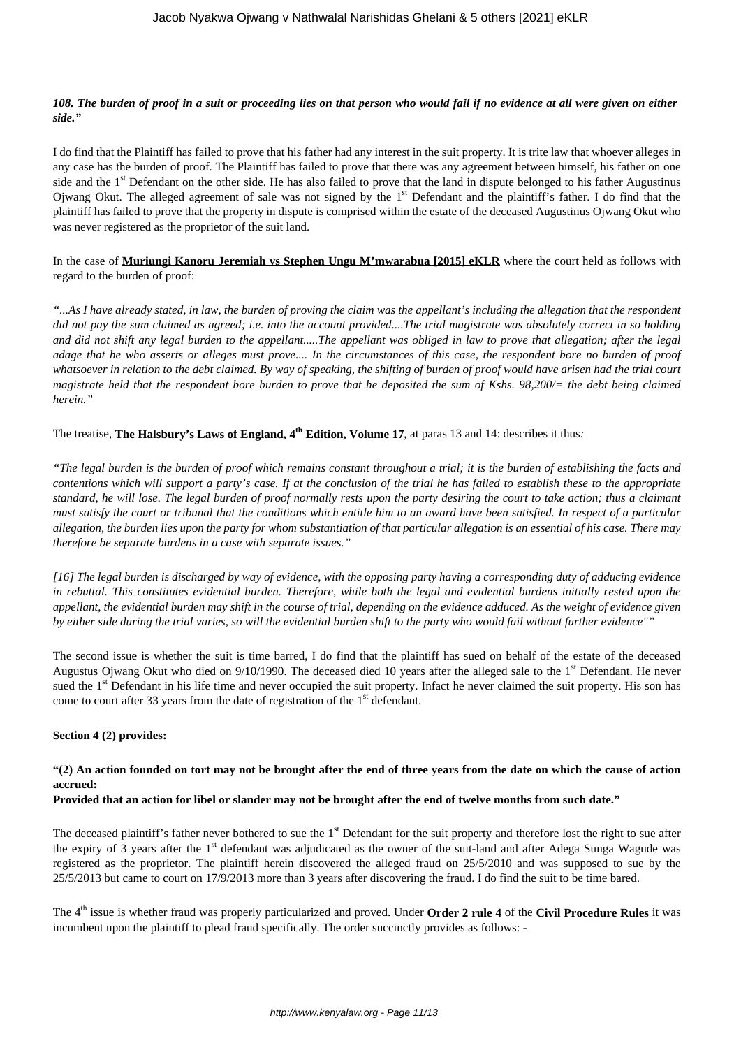## *108. The burden of proof in a suit or proceeding lies on that person who would fail if no evidence at all were given on either side."*

I do find that the Plaintiff has failed to prove that his father had any interest in the suit property. It is trite law that whoever alleges in any case has the burden of proof. The Plaintiff has failed to prove that there was any agreement between himself, his father on one side and the 1<sup>st</sup> Defendant on the other side. He has also failed to prove that the land in dispute belonged to his father Augustinus Ojwang Okut. The alleged agreement of sale was not signed by the 1<sup>st</sup> Defendant and the plaintiff's father. I do find that the plaintiff has failed to prove that the property in dispute is comprised within the estate of the deceased Augustinus Ojwang Okut who was never registered as the proprietor of the suit land.

In the case of **Muriungi Kanoru Jeremiah vs Stephen Ungu M'mwarabua [2015] eKLR** where the court held as follows with regard to the burden of proof:

*"...As I have already stated, in law, the burden of proving the claim was the appellant's including the allegation that the respondent did not pay the sum claimed as agreed; i.e. into the account provided....The trial magistrate was absolutely correct in so holding and did not shift any legal burden to the appellant.....The appellant was obliged in law to prove that allegation; after the legal adage that he who asserts or alleges must prove.... In the circumstances of this case, the respondent bore no burden of proof whatsoever in relation to the debt claimed. By way of speaking, the shifting of burden of proof would have arisen had the trial court magistrate held that the respondent bore burden to prove that he deposited the sum of Kshs. 98,200/= the debt being claimed herein."*

The treatise, **The Halsbury's Laws of England, 4th Edition, Volume 17,** at paras 13 and 14: describes it thus*:*

*"The legal burden is the burden of proof which remains constant throughout a trial; it is the burden of establishing the facts and contentions which will support a party's case. If at the conclusion of the trial he has failed to establish these to the appropriate standard, he will lose. The legal burden of proof normally rests upon the party desiring the court to take action; thus a claimant must satisfy the court or tribunal that the conditions which entitle him to an award have been satisfied. In respect of a particular allegation, the burden lies upon the party for whom substantiation of that particular allegation is an essential of his case. There may therefore be separate burdens in a case with separate issues."*

*[16] The legal burden is discharged by way of evidence, with the opposing party having a corresponding duty of adducing evidence in rebuttal. This constitutes evidential burden. Therefore, while both the legal and evidential burdens initially rested upon the appellant, the evidential burden may shift in the course of trial, depending on the evidence adduced. As the weight of evidence given by either side during the trial varies, so will the evidential burden shift to the party who would fail without further evidence""*

The second issue is whether the suit is time barred, I do find that the plaintiff has sued on behalf of the estate of the deceased Augustus Ojwang Okut who died on  $9/10/1990$ . The deceased died 10 years after the alleged sale to the 1<sup>st</sup> Defendant. He never sued the 1<sup>st</sup> Defendant in his life time and never occupied the suit property. Infact he never claimed the suit property. His son has come to court after 33 years from the date of registration of the  $1<sup>st</sup>$  defendant.

## **Section 4 (2) provides:**

# **"(2) An action founded on tort may not be brought after the end of three years from the date on which the cause of action accrued:**

## **Provided that an action for libel or slander may not be brought after the end of twelve months from such date."**

The deceased plaintiff's father never bothered to sue the  $1<sup>st</sup>$  Defendant for the suit property and therefore lost the right to sue after the expiry of 3 years after the 1<sup>st</sup> defendant was adjudicated as the owner of the suit-land and after Adega Sunga Wagude was registered as the proprietor. The plaintiff herein discovered the alleged fraud on 25/5/2010 and was supposed to sue by the 25/5/2013 but came to court on 17/9/2013 more than 3 years after discovering the fraud. I do find the suit to be time bared.

The 4th issue is whether fraud was properly particularized and proved. Under **Order 2 rule 4** of the **Civil Procedure Rules** it was incumbent upon the plaintiff to plead fraud specifically. The order succinctly provides as follows: -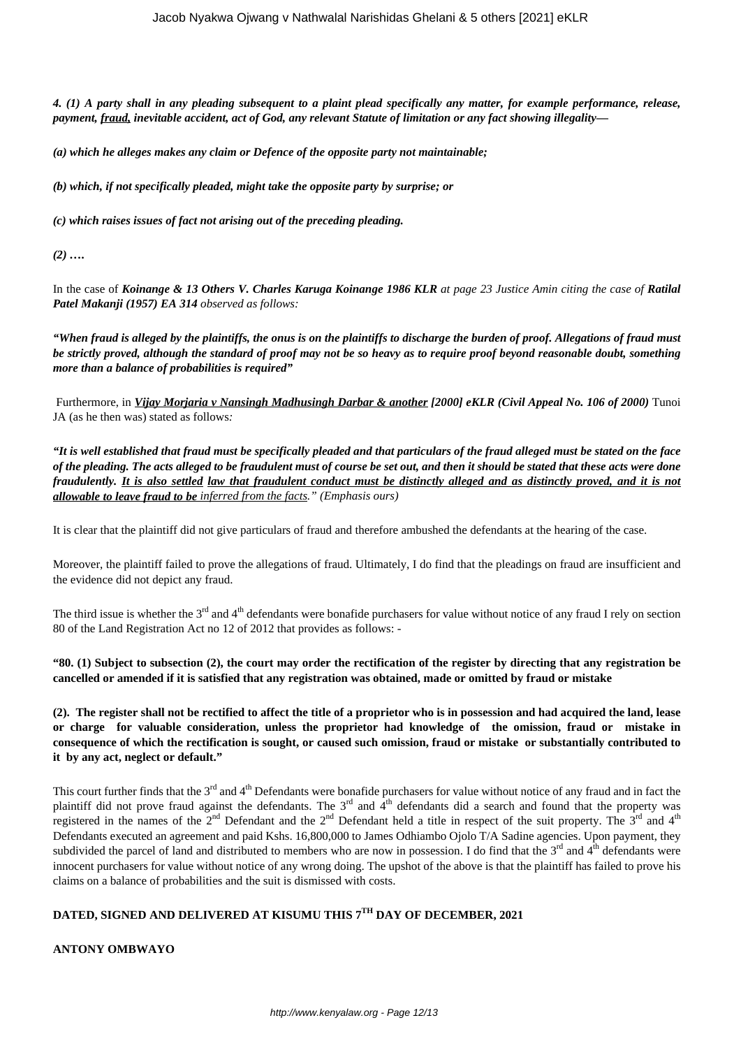*4. (1) A party shall in any pleading subsequent to a plaint plead specifically any matter, for example performance, release, payment, fraud, inevitable accident, act of God, any relevant Statute of limitation or any fact showing illegality—*

*(a) which he alleges makes any claim or Defence of the opposite party not maintainable;*

*(b) which, if not specifically pleaded, might take the opposite party by surprise; or*

*(c) which raises issues of fact not arising out of the preceding pleading.*

*(2) ….*

In the case of *Koinange & 13 Others V. Charles Karuga Koinange 1986 KLR at page 23 Justice Amin citing the case of Ratilal Patel Makanji (1957) EA 314 observed as follows:*

*"When fraud is alleged by the plaintiffs, the onus is on the plaintiffs to discharge the burden of proof. Allegations of fraud must be strictly proved, although the standard of proof may not be so heavy as to require proof beyond reasonable doubt, something more than a balance of probabilities is required"*

Furthermore, in *Vijay Morjaria v Nansingh Madhusingh Darbar & another [2000] eKLR (Civil Appeal No. 106 of 2000)* Tunoi JA (as he then was) stated as follows*:*

*"It is well established that fraud must be specifically pleaded and that particulars of the fraud alleged must be stated on the face of the pleading. The acts alleged to be fraudulent must of course be set out, and then it should be stated that these acts were done fraudulently. It is also settled law that fraudulent conduct must be distinctly alleged and as distinctly proved, and it is not allowable to leave fraud to be inferred from the facts." (Emphasis ours)*

It is clear that the plaintiff did not give particulars of fraud and therefore ambushed the defendants at the hearing of the case.

Moreover, the plaintiff failed to prove the allegations of fraud. Ultimately, I do find that the pleadings on fraud are insufficient and the evidence did not depict any fraud.

The third issue is whether the  $3<sup>rd</sup>$  and  $4<sup>th</sup>$  defendants were bonafide purchasers for value without notice of any fraud I rely on section 80 of the Land Registration Act no 12 of 2012 that provides as follows: -

**"80. (1) Subject to subsection (2), the court may order the rectification of the register by directing that any registration be cancelled or amended if it is satisfied that any registration was obtained, made or omitted by fraud or mistake**

**(2). The register shall not be rectified to affect the title of a proprietor who is in possession and had acquired the land, lease or charge for valuable consideration, unless the proprietor had knowledge of the omission, fraud or mistake in consequence of which the rectification is sought, or caused such omission, fraud or mistake or substantially contributed to it by any act, neglect or default."**

This court further finds that the 3<sup>rd</sup> and 4<sup>th</sup> Defendants were bonafide purchasers for value without notice of any fraud and in fact the plaintiff did not prove fraud against the defendants. The  $3<sup>rd</sup>$  and  $4<sup>th</sup>$  defendants did a search and found that the property was registered in the names of the  $2^{nd}$  Defendant and the  $2^{nd}$  Defendant held a title in respect of the suit property. The  $3^{rd}$  and  $4^{th}$ Defendants executed an agreement and paid Kshs. 16,800,000 to James Odhiambo Ojolo T/A Sadine agencies. Upon payment, they subdivided the parcel of land and distributed to members who are now in possession. I do find that the 3<sup>rd</sup> and 4<sup>th</sup> defendants were innocent purchasers for value without notice of any wrong doing. The upshot of the above is that the plaintiff has failed to prove his claims on a balance of probabilities and the suit is dismissed with costs.

# **DATED, SIGNED AND DELIVERED AT KISUMU THIS 7TH DAY OF DECEMBER, 2021**

**ANTONY OMBWAYO**